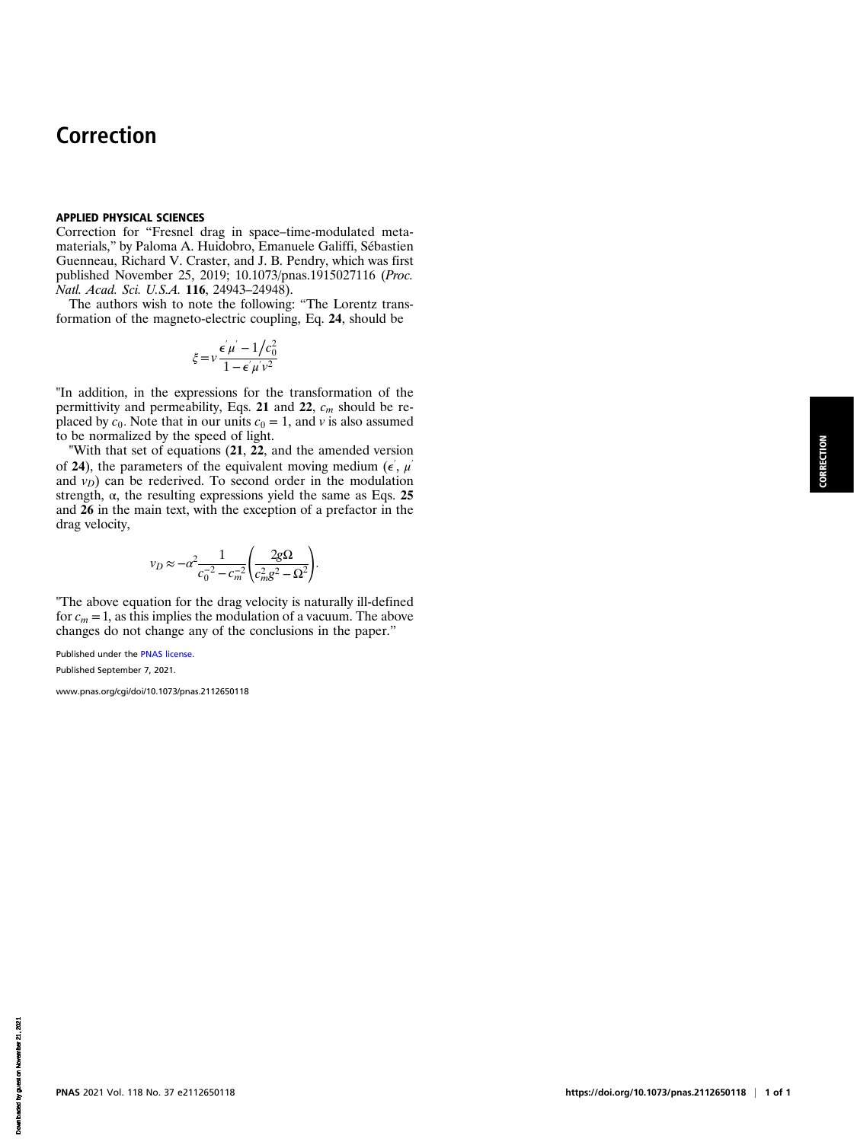# Correction

### APPLIED PHYSICAL SCIENCES

Correction for "Fresnel drag in space–time-modulated metamaterials," by Paloma A. Huidobro, Emanuele Galiffi, Sébastien Guenneau, Richard V. Craster, and J. B. Pendry, which was first published November 25, 2019; 10.1073/pnas.1915027116 (Proc. Natl. Acad. Sci. U.S.A. 116, 24943–24948).

The authors wish to note the following: "The Lorentz transformation of the magneto-electric coupling, Eq. 24, should be

$$
\xi = v \frac{\epsilon' \mu' - 1/c_0^2}{1 - \epsilon' \mu' v^2}
$$

"In addition, in the expressions for the transformation of the permittivity and permeability, Eqs. 21 and 22,  $c_m$  should be replaced by  $c_0$ . Note that in our units  $c_0 = 1$ , and v is also assumed to be normalized by the speed of light.

"With that set of equations  $(21, 22)$ , and the amended version of 24), the parameters of the equivalent moving medium ( $\epsilon^{\prime}$ ,  $\mu^{\prime}$ and  $v_D$ ) can be rederived. To second order in the modulation strength,  $\alpha$ , the resulting expressions yield the same as Eqs. 25 and 26 in the main text, with the exception of a prefactor in the drag velocity,

$$
v_D \approx -\alpha^2 \frac{1}{c_0^{-2} - c_m^{-2}} \left(\frac{2g\Omega}{c_m^2 g^2 - \Omega^2}\right).
$$

"The above equation for the drag velocity is naturally ill-defined for  $c_m = 1$ , as this implies the modulation of a vacuum. The above changes do not change any of the conclusions in the paper."

Published under the [PNAS license.](https://www.pnas.org/site/aboutpnas/licenses.xhtml)

Published September 7, 2021.

[www.pnas.org/cgi/doi/10.1073/pnas.2112650118](https://www.pnas.org/cgi/doi/10.1073/pnas.2112650118)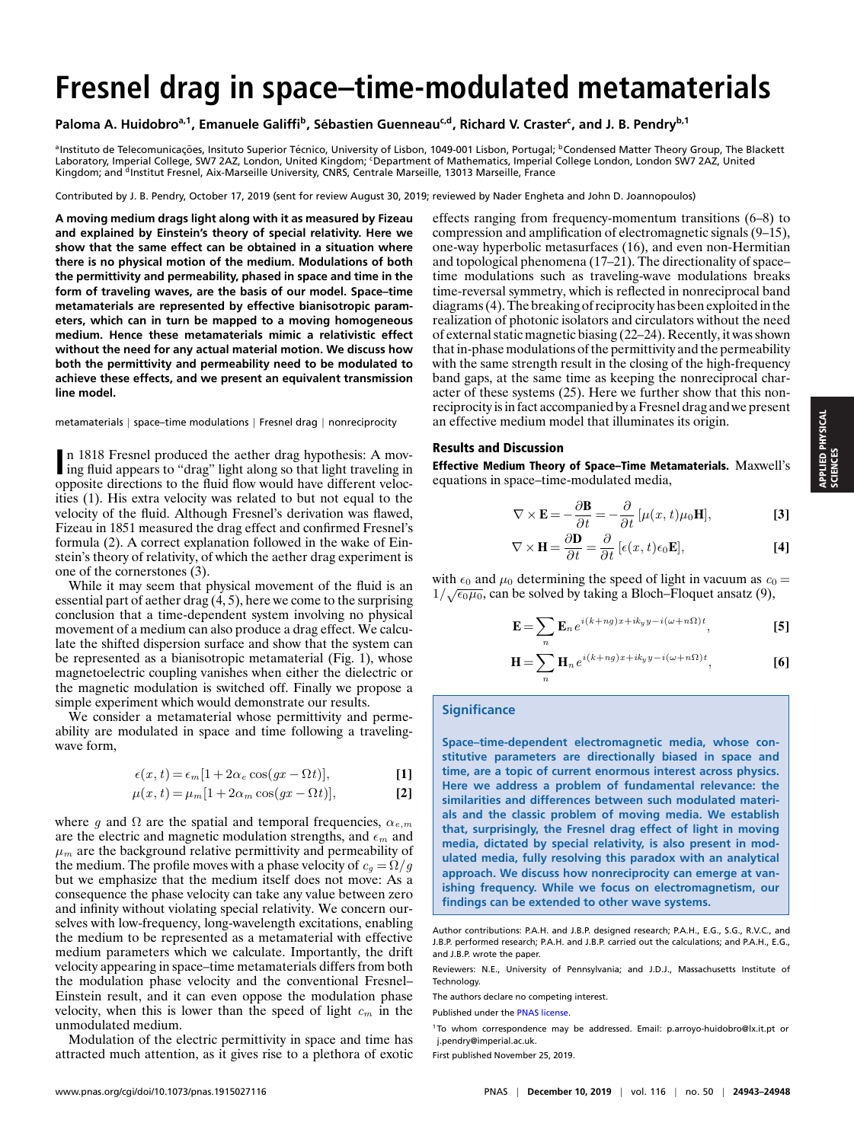# **Fresnel drag in space–time-modulated metamaterials**

# **Paloma A. Huidobroa,1, Emanuele Galiffi<sup>b</sup> , Sebastien Guenneau ´ c,d, Richard V. Craster<sup>c</sup> , and J. B. Pendryb,1**

ªInstituto de Telecomunicações, Insituto Superior Técnico, University of Lisbon, 1049-001 Lisbon, Portugal; <sup>b</sup>Condensed Matter Theory Group, The Blackett Laboratory, Imperial College, SW7 2AZ, London, United Kingdom; 'Department of Mathematics, Imperial College London, London SW7 2AZ, United Kingdom; and <sup>d</sup>Institut Fresnel, Aix-Marseille University, CNRS, Centrale Marseille, 13013 Marseille, France

Contributed by J. B. Pendry, October 17, 2019 (sent for review August 30, 2019; reviewed by Nader Engheta and John D. Joannopoulos)

**A moving medium drags light along with it as measured by Fizeau and explained by Einstein's theory of special relativity. Here we show that the same effect can be obtained in a situation where there is no physical motion of the medium. Modulations of both the permittivity and permeability, phased in space and time in the form of traveling waves, are the basis of our model. Space–time metamaterials are represented by effective bianisotropic parameters, which can in turn be mapped to a moving homogeneous medium. Hence these metamaterials mimic a relativistic effect without the need for any actual material motion. We discuss how both the permittivity and permeability need to be modulated to achieve these effects, and we present an equivalent transmission line model.**

#### metamaterials | space–time modulations | Fresnel drag | nonreciprocity

**II** in 1818 Fresnel produced the aether drag hypothesis: A moving fluid appears to "drag" light along so that light traveling in n 1818 Fresnel produced the aether drag hypothesis: A movopposite directions to the fluid flow would have different velocities (1). His extra velocity was related to but not equal to the velocity of the fluid. Although Fresnel's derivation was flawed, Fizeau in 1851 measured the drag effect and confirmed Fresnel's formula (2). A correct explanation followed in the wake of Einstein's theory of relativity, of which the aether drag experiment is one of the cornerstones (3).

While it may seem that physical movement of the fluid is an essential part of aether drag (4, 5), here we come to the surprising conclusion that a time-dependent system involving no physical movement of a medium can also produce a drag effect. We calculate the shifted dispersion surface and show that the system can be represented as a bianisotropic metamaterial (Fig. 1), whose magnetoelectric coupling vanishes when either the dielectric or the magnetic modulation is switched off. Finally we propose a simple experiment which would demonstrate our results.

We consider a metamaterial whose permittivity and permeability are modulated in space and time following a travelingwave form,

$$
\epsilon(x,t) = \epsilon_m [1 + 2\alpha_e \cos(gx - \Omega t)],\tag{1}
$$

$$
\mu(x,t) = \mu_m [1 + 2\alpha_m \cos(gx - \Omega t)],
$$
 [2]

where q and  $\Omega$  are the spatial and temporal frequencies,  $\alpha_{e,m}$ are the electric and magnetic modulation strengths, and  $\epsilon_m$  and  $\mu_m$  are the background relative permittivity and permeability of the medium. The profile moves with a phase velocity of  $c_q = \Omega/g$ but we emphasize that the medium itself does not move: As a consequence the phase velocity can take any value between zero and infinity without violating special relativity. We concern ourselves with low-frequency, long-wavelength excitations, enabling the medium to be represented as a metamaterial with effective medium parameters which we calculate. Importantly, the drift velocity appearing in space–time metamaterials differs from both the modulation phase velocity and the conventional Fresnel– Einstein result, and it can even oppose the modulation phase velocity, when this is lower than the speed of light  $c_m$  in the unmodulated medium.

Modulation of the electric permittivity in space and time has attracted much attention, as it gives rise to a plethora of exotic effects ranging from frequency-momentum transitions (6–8) to compression and amplification of electromagnetic signals (9–15), one-way hyperbolic metasurfaces (16), and even non-Hermitian and topological phenomena (17–21). The directionality of space– time modulations such as traveling-wave modulations breaks time-reversal symmetry, which is reflected in nonreciprocal band diagrams (4). The breaking of reciprocity has been exploited in the realization of photonic isolators and circulators without the need of external static magnetic biasing (22–24). Recently, it was shown that in-phase modulations of the permittivity and the permeability with the same strength result in the closing of the high-frequency band gaps, at the same time as keeping the nonreciprocal character of these systems (25). Here we further show that this nonreciprocity is in fact accompanied by a Fresnel drag and we present an effective medium model that illuminates its origin.

#### Results and Discussion

Effective Medium Theory of Space–Time Metamaterials. Maxwell's equations in space–time-modulated media,

$$
\nabla \times \mathbf{E} = -\frac{\partial \mathbf{B}}{\partial t} = -\frac{\partial}{\partial t} [\mu(x, t)\mu_0 \mathbf{H}],
$$
 [3]

$$
\nabla \times \mathbf{H} = \frac{\partial \mathbf{D}}{\partial t} = \frac{\partial}{\partial t} \left[ \epsilon(x, t) \epsilon_0 \mathbf{E} \right],\tag{4}
$$

with  $\epsilon_0$  and  $\mu_0$  determining the speed of light in vacuum as  $c_0 =$ with  $\epsilon_0$  and  $\mu_0$  determining the speed of light in vacuum as  $c_0$ <br> $1/\sqrt{\epsilon_0\mu_0}$ , can be solved by taking a Bloch–Floquet ansatz (9),

$$
\mathbf{E} = \sum_{n} \mathbf{E}_{n} e^{i(k+ng)x + ik_{y}y - i(\omega+n\Omega)t}, \tag{5}
$$

$$
\mathbf{H} = \sum_{n} \mathbf{H}_{n} e^{i(k+ng)x + ik_{y}y - i(\omega + n\Omega)t},
$$
 [6]

# **Significance**

**Space–time-dependent electromagnetic media, whose constitutive parameters are directionally biased in space and time, are a topic of current enormous interest across physics. Here we address a problem of fundamental relevance: the similarities and differences between such modulated materials and the classic problem of moving media. We establish that, surprisingly, the Fresnel drag effect of light in moving media, dictated by special relativity, is also present in modulated media, fully resolving this paradox with an analytical approach. We discuss how nonreciprocity can emerge at vanishing frequency. While we focus on electromagnetism, our findings can be extended to other wave systems.**

The authors declare no competing interest.

Author contributions: P.A.H. and J.B.P. designed research; P.A.H., E.G., S.G., R.V.C., and J.B.P. performed research; P.A.H. and J.B.P. carried out the calculations; and P.A.H., E.G., and J.B.P. wrote the paper.

Reviewers: N.E., University of Pennsylvania; and J.D.J., Massachusetts Institute of Technology.

Published under the [PNAS license.](https://www.pnas.org/site/aboutpnas/licenses.xhtml)

<sup>1</sup> To whom correspondence may be addressed. Email: [p.arroyo-huidobro@lx.it.pt](mailto:p.arroyo-huidobro@lx.it.pt) or [j.pendry@imperial.ac.uk.](mailto:j.pendry@imperial.ac.uk)

First published November 25, 2019.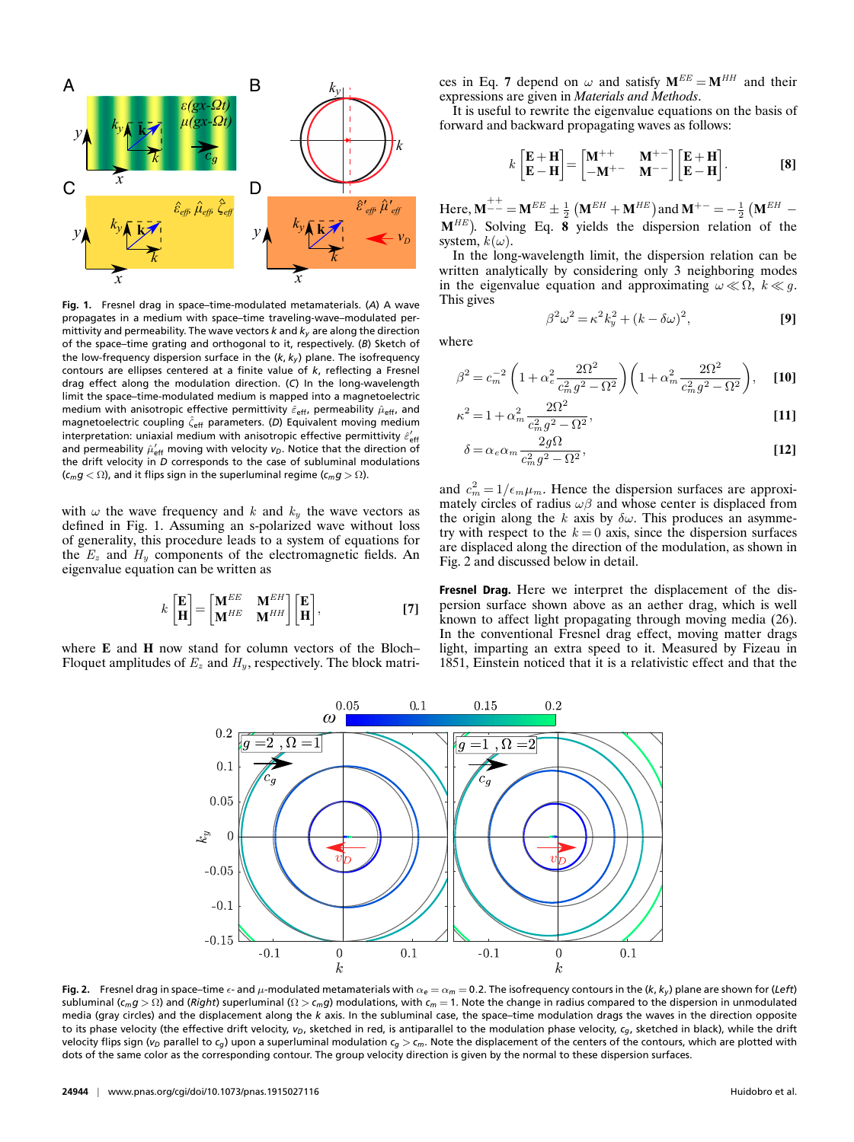

**Fig. 1.** Fresnel drag in space–time-modulated metamaterials. (*A*) A wave propagates in a medium with space–time traveling-wave–modulated permittivity and permeability. The wave vectors *k* and *k<sup>y</sup>* are along the direction of the space–time grating and orthogonal to it, respectively. (*B*) Sketch of the low-frequency dispersion surface in the  $(k, k_y)$  plane. The isofrequency contours are ellipses centered at a finite value of *k*, reflecting a Fresnel drag effect along the modulation direction. (*C*) In the long-wavelength limit the space–time-modulated medium is mapped into a magnetoelectric medium with anisotropic effective permittivity  $\hat{\varepsilon}_{\sf eff}$ , permeability  $\hat{\mu}_{\sf eff}$ , and magnetoelectric coupling  $\hat{\zeta}_{\sf eff}$  parameters. (D) Equivalent moving medium interpretation: uniaxial medium with anisotropic effective permittivity  $\hat{\varepsilon}^{\prime}_{{\sf eff}}$ and permeability  $\hat{\mu}^{\prime}_\mathsf{eff}$  moving with velocity  $\mathsf{v}_D.$  Notice that the direction of the drift velocity in *D* corresponds to the case of subluminal modulations  $(c_m g < \Omega)$ , and it flips sign in the superluminal regime  $(c_m g > \Omega)$ .

with  $\omega$  the wave frequency and k and  $k_y$  the wave vectors as defined in Fig. 1. Assuming an s-polarized wave without loss of generality, this procedure leads to a system of equations for the  $E_z$  and  $H_y$  components of the electromagnetic fields. An eigenvalue equation can be written as

$$
k\begin{bmatrix} \mathbf{E} \\ \mathbf{H} \end{bmatrix} = \begin{bmatrix} \mathbf{M}^{EE} & \mathbf{M}^{EH} \\ \mathbf{M}^{HE} & \mathbf{M}^{HH} \end{bmatrix} \begin{bmatrix} \mathbf{E} \\ \mathbf{H} \end{bmatrix},
$$
 [7]

where **E** and **H** now stand for column vectors of the Bloch– Floquet amplitudes of  $E_z$  and  $H_y$ , respectively. The block matrices in Eq. 7 depend on  $\omega$  and satisfy  $M^{EE} = M^{HH}$  and their expressions are given in *Materials and Methods*.

It is useful to rewrite the eigenvalue equations on the basis of forward and backward propagating waves as follows:

$$
k\begin{bmatrix} \mathbf{E} + \mathbf{H} \\ \mathbf{E} - \mathbf{H} \end{bmatrix} = \begin{bmatrix} \mathbf{M}^{++} & \mathbf{M}^{+-} \\ -\mathbf{M}^{+-} & \mathbf{M}^{--} \end{bmatrix} \begin{bmatrix} \mathbf{E} + \mathbf{H} \\ \mathbf{E} - \mathbf{H} \end{bmatrix}.
$$
 [8]

Here,  ${\bf M}^{++}$  =  ${\bf M}^{EE}$   $\pm \frac{1}{2}$   $\left( {\bf M}^{EH} + {\bf M}^{HE} \right)$  and  ${\bf M}^{+-}$  =  $-\frac{1}{2}$   $\left( {\bf M}^{EH}$   $M^{HE}$ ). Solving Eq. 8 yields the dispersion relation of the system,  $k(\omega)$ .

In the long-wavelength limit, the dispersion relation can be written analytically by considering only 3 neighboring modes in the eigenvalue equation and approximating  $\omega \ll \Omega$ ,  $k \ll g$ . This gives

$$
\beta^2 \omega^2 = \kappa^2 k_y^2 + (k - \delta \omega)^2, \tag{9}
$$

where

$$
\beta^2 = c_m^{-2} \left( 1 + \alpha_e^2 \frac{2\Omega^2}{c_m^2 g^2 - \Omega^2} \right) \left( 1 + \alpha_m^2 \frac{2\Omega^2}{c_m^2 g^2 - \Omega^2} \right), \quad \textbf{[10]}
$$

$$
\kappa^2 = 1 + \alpha_m^2 \frac{2\Omega^2}{c_m^2 g^2 - \Omega^2},
$$
 [11]

$$
\delta = \alpha_e \alpha_m \frac{2g\Omega}{c_m^2 g^2 - \Omega^2},\tag{12}
$$

and  $c_m^2 = 1/\epsilon_m \mu_m$ . Hence the dispersion surfaces are approximately circles of radius  $\omega\beta$  and whose center is displaced from the origin along the k axis by  $\delta \omega$ . This produces an asymmetry with respect to the  $k = 0$  axis, since the dispersion surfaces are displaced along the direction of the modulation, as shown in Fig. 2 and discussed below in detail.

Fresnel Drag. Here we interpret the displacement of the dispersion surface shown above as an aether drag, which is well known to affect light propagating through moving media (26). In the conventional Fresnel drag effect, moving matter drags light, imparting an extra speed to it. Measured by Fizeau in 1851, Einstein noticed that it is a relativistic effect and that the



**Fig. 2.** Fresnel drag in space–time  $\epsilon$ - and  $\mu$ -modulated metamaterials with  $\alpha_{\epsilon} = \alpha_m = 0.2$ . The isofrequency contours in the (*k*, *k<sub>y</sub>*) plane are shown for (*Left*) subluminal (*cmg* > Ω) and (*Right*) superluminal (Ω > *cmg*) modulations, with *c<sup>m</sup>* = 1. Note the change in radius compared to the dispersion in unmodulated media (gray circles) and the displacement along the *k* axis. In the subluminal case, the space–time modulation drags the waves in the direction opposite to its phase velocity (the effective drift velocity, *vD*, sketched in red, is antiparallel to the modulation phase velocity, *cg*, sketched in black), while the drift velocity flips sign ( $v_D$  parallel to  $c_g$ ) upon a superluminal modulation  $c_g > c_m$ . Note the displacement of the centers of the contours, which are plotted with dots of the same color as the corresponding contour. The group velocity direction is given by the normal to these dispersion surfaces.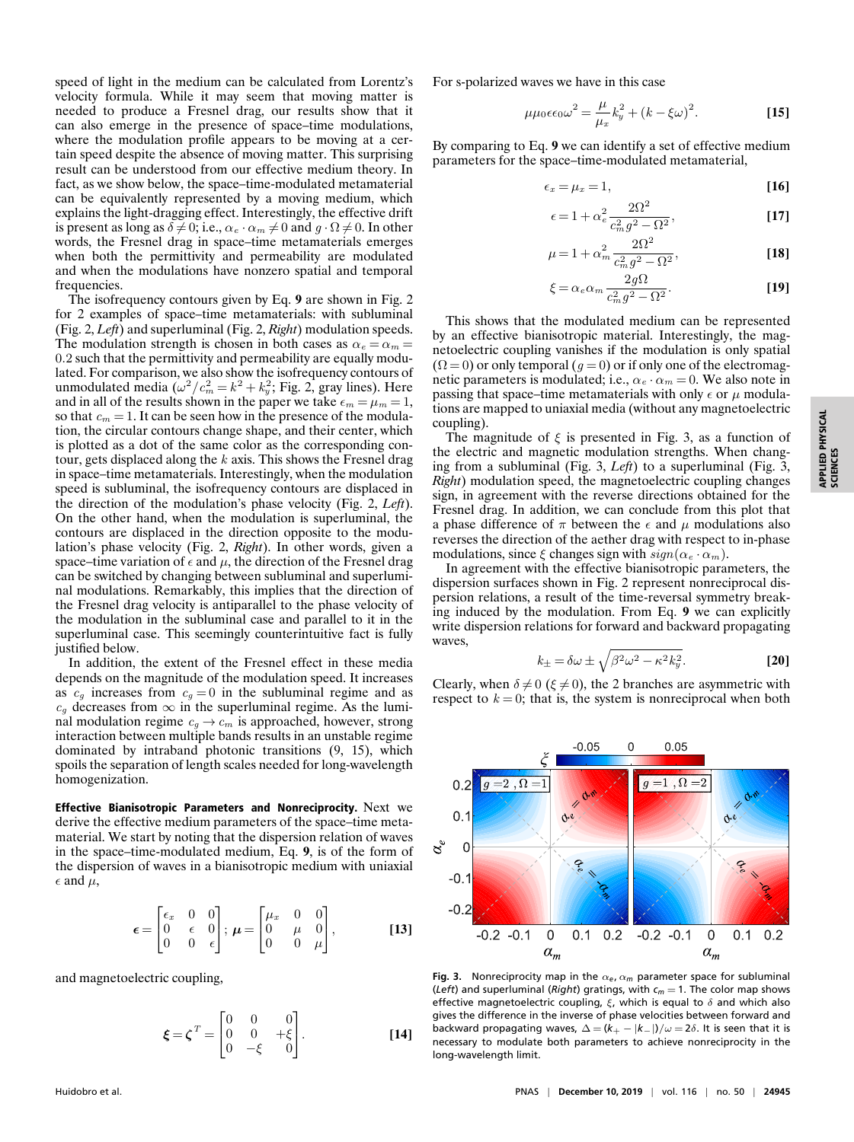speed of light in the medium can be calculated from Lorentz's velocity formula. While it may seem that moving matter is needed to produce a Fresnel drag, our results show that it can also emerge in the presence of space–time modulations, where the modulation profile appears to be moving at a certain speed despite the absence of moving matter. This surprising result can be understood from our effective medium theory. In fact, as we show below, the space–time-modulated metamaterial can be equivalently represented by a moving medium, which explains the light-dragging effect. Interestingly, the effective drift is present as long as  $\delta \neq 0$ ; i.e.,  $\alpha_e \cdot \alpha_m \neq 0$  and  $g \cdot \Omega \neq 0$ . In other words, the Fresnel drag in space–time metamaterials emerges when both the permittivity and permeability are modulated and when the modulations have nonzero spatial and temporal frequencies.

The isofrequency contours given by Eq. **9** are shown in Fig. 2 for 2 examples of space–time metamaterials: with subluminal (Fig. 2, *Left*) and superluminal (Fig. 2, *Right*) modulation speeds. The modulation strength is chosen in both cases as  $\alpha_e = \alpha_m =$ 0.2 such that the permittivity and permeability are equally modulated. For comparison, we also show the isofrequency contours of unmodulated media  $(\omega^2/c_m^2 = k^2 + k_y^2;$  Fig. 2, gray lines). Here and in all of the results shown in the paper we take  $\epsilon_m = \mu_m = 1$ , so that  $c_m = 1$ . It can be seen how in the presence of the modulation, the circular contours change shape, and their center, which is plotted as a dot of the same color as the corresponding contour, gets displaced along the  $k$  axis. This shows the Fresnel drag in space–time metamaterials. Interestingly, when the modulation speed is subluminal, the isofrequency contours are displaced in the direction of the modulation's phase velocity (Fig. 2, *Left*). On the other hand, when the modulation is superluminal, the contours are displaced in the direction opposite to the modulation's phase velocity (Fig. 2, *Right*). In other words, given a space–time variation of  $\epsilon$  and  $\mu$ , the direction of the Fresnel drag can be switched by changing between subluminal and superluminal modulations. Remarkably, this implies that the direction of the Fresnel drag velocity is antiparallel to the phase velocity of the modulation in the subluminal case and parallel to it in the superluminal case. This seemingly counterintuitive fact is fully justified below.

In addition, the extent of the Fresnel effect in these media depends on the magnitude of the modulation speed. It increases as  $c_g$  increases from  $c_g = 0$  in the subluminal regime and as  $c_g$  decreases from  $\infty$  in the superluminal regime. As the luminal modulation regime  $c_q \rightarrow c_m$  is approached, however, strong interaction between multiple bands results in an unstable regime dominated by intraband photonic transitions (9, 15), which spoils the separation of length scales needed for long-wavelength homogenization.

Effective Bianisotropic Parameters and Nonreciprocity. Next we derive the effective medium parameters of the space–time metamaterial. We start by noting that the dispersion relation of waves in the space–time-modulated medium, Eq. **9**, is of the form of the dispersion of waves in a bianisotropic medium with uniaxial  $\epsilon$  and  $\mu$ ,

$$
\epsilon = \begin{bmatrix} \epsilon_x & 0 & 0 \\ 0 & \epsilon & 0 \\ 0 & 0 & \epsilon \end{bmatrix}; \ \boldsymbol{\mu} = \begin{bmatrix} \mu_x & 0 & 0 \\ 0 & \mu & 0 \\ 0 & 0 & \mu \end{bmatrix}, \tag{13}
$$

and magnetoelectric coupling,

$$
\boldsymbol{\xi} = \boldsymbol{\zeta}^T = \begin{bmatrix} 0 & 0 & 0 \\ 0 & 0 & +\xi \\ 0 & -\xi & 0 \end{bmatrix} .
$$
 [14]

For s-polarized waves we have in this case

$$
\mu\mu_0\epsilon\epsilon_0\omega^2 = \frac{\mu}{\mu_x}k_y^2 + (k - \xi\omega)^2.
$$
 [15]

By comparing to Eq. **9** we can identify a set of effective medium parameters for the space–time-modulated metamaterial,

$$
\epsilon_x = \mu_x = 1, \tag{16}
$$

$$
\epsilon = 1 + \alpha_e^2 \frac{2\Omega^2}{c_m^2 g^2 - \Omega^2},\tag{17}
$$

$$
\mu = 1 + \alpha_m^2 \frac{2\Omega^2}{c_m^2 g^2 - \Omega^2},
$$
 [18]

$$
\xi = \alpha_e \alpha_m \frac{2g\Omega}{c_m^2 g^2 - \Omega^2}.
$$
 [19]

This shows that the modulated medium can be represented by an effective bianisotropic material. Interestingly, the magnetoelectric coupling vanishes if the modulation is only spatial  $(\Omega = 0)$  or only temporal  $(g = 0)$  or if only one of the electromagnetic parameters is modulated; i.e.,  $\alpha_e \cdot \alpha_m = 0$ . We also note in passing that space–time metamaterials with only  $\epsilon$  or  $\mu$  modulations are mapped to uniaxial media (without any magnetoelectric coupling).

The magnitude of  $\xi$  is presented in Fig. 3, as a function of the electric and magnetic modulation strengths. When changing from a subluminal (Fig. 3, *Left*) to a superluminal (Fig. 3, *Right*) modulation speed, the magnetoelectric coupling changes sign, in agreement with the reverse directions obtained for the Fresnel drag. In addition, we can conclude from this plot that a phase difference of  $\pi$  between the  $\epsilon$  and  $\mu$  modulations also reverses the direction of the aether drag with respect to in-phase modulations, since  $\xi$  changes sign with  $sign(\alpha_e \cdot \alpha_m)$ .

In agreement with the effective bianisotropic parameters, the dispersion surfaces shown in Fig. 2 represent nonreciprocal dispersion relations, a result of the time-reversal symmetry breaking induced by the modulation. From Eq. **9** we can explicitly write dispersion relations for forward and backward propagating waves,

$$
k_{\pm} = \delta\omega \pm \sqrt{\beta^2 \omega^2 - \kappa^2 k_y^2}.
$$
 [20]

Clearly, when  $\delta \neq 0$  ( $\xi \neq 0$ ), the 2 branches are asymmetric with respect to  $k = 0$ ; that is, the system is nonreciprocal when both



**Fig. 3.** Nonreciprocity map in the  $\alpha_e$ ,  $\alpha_m$  parameter space for subluminal (*Left*) and superluminal (*Right*) gratings, with *c<sup>m</sup>* = 1. The color map shows effective magnetoelectric coupling,  $\xi$ , which is equal to  $\delta$  and which also gives the difference in the inverse of phase velocities between forward and backward propagating waves,  $\Delta = (k_{+} - |k_{-}|)/\omega = 2\delta$ . It is seen that it is necessary to modulate both parameters to achieve nonreciprocity in the long-wavelength limit.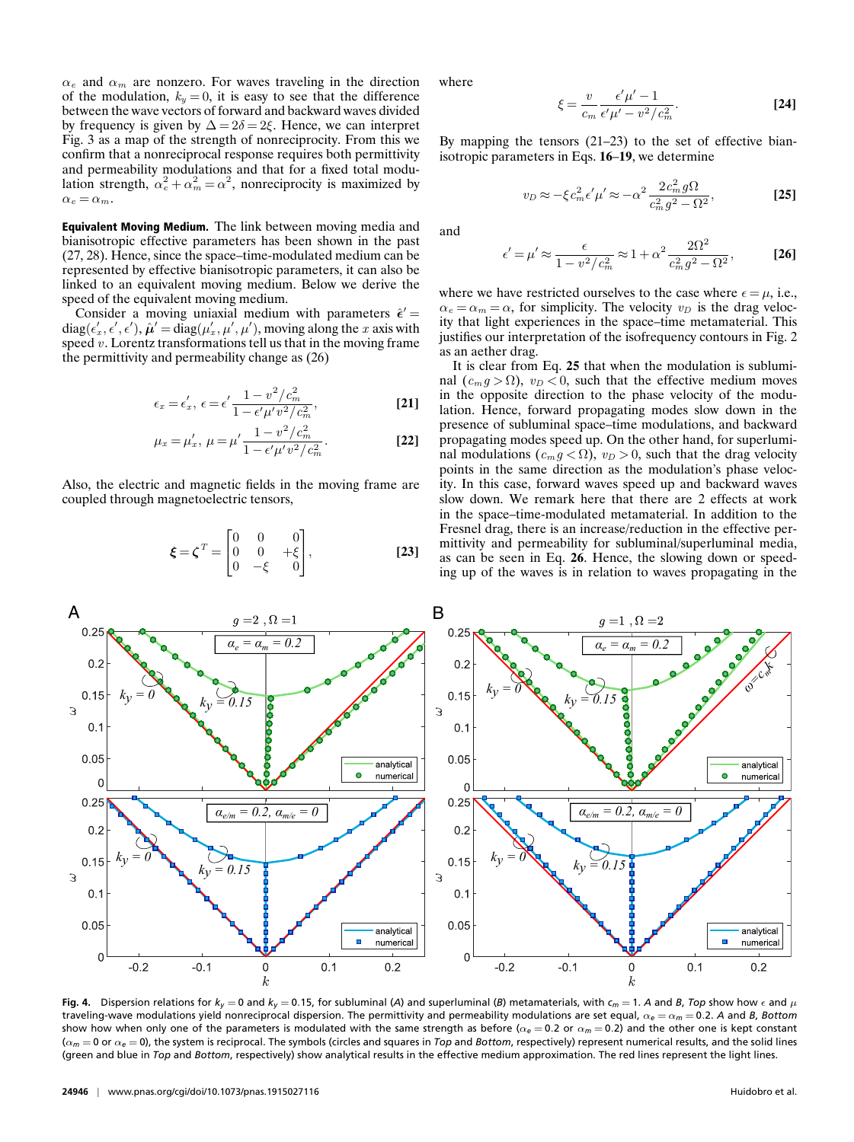$\alpha_e$  and  $\alpha_m$  are nonzero. For waves traveling in the direction of the modulation,  $k_y = 0$ , it is easy to see that the difference between the wave vectors of forward and backward waves divided by frequency is given by  $\Delta = 2\delta = 2\xi$ . Hence, we can interpret Fig. 3 as a map of the strength of nonreciprocity. From this we confirm that a nonreciprocal response requires both permittivity and permeability modulations and that for a fixed total modulation strength,  $\alpha_e^2 + \alpha_m^2 = \alpha^2$ , nonreciprocity is maximized by  $\alpha_e = \alpha_m.$ 

Equivalent Moving Medium. The link between moving media and bianisotropic effective parameters has been shown in the past (27, 28). Hence, since the space–time-modulated medium can be represented by effective bianisotropic parameters, it can also be linked to an equivalent moving medium. Below we derive the speed of the equivalent moving medium.

Consider a moving uniaxial medium with parameters  $\hat{\epsilon}'$  =  $diag(\epsilon'_x, \epsilon', \epsilon'), \hat{\mu}' = diag(\mu'_x, \mu', \mu'),$  moving along the x axis with speed  $v$ . Lorentz transformations tell us that in the moving frame the permittivity and permeability change as (26)

$$
\epsilon_x = \epsilon'_x, \ \epsilon = \epsilon' \frac{1 - v^2/c_m^2}{1 - \epsilon' \mu' v^2/c_m^2}, \tag{21}
$$

$$
\mu_x = \mu'_x, \ \mu = \mu' \frac{1 - v^2/c_m^2}{1 - \epsilon' \mu' v^2/c_m^2}.
$$
 [22]

Also, the electric and magnetic fields in the moving frame are coupled through magnetoelectric tensors,

$$
\boldsymbol{\xi} = \boldsymbol{\zeta}^T = \begin{bmatrix} 0 & 0 & 0 \\ 0 & 0 & +\xi \\ 0 & -\xi & 0 \end{bmatrix},
$$
 [23]

where

$$
\xi = \frac{v}{c_m} \frac{\epsilon' \mu' - 1}{\epsilon' \mu' - v^2/c_m^2}.
$$
 [24]

By mapping the tensors (21–23) to the set of effective bianisotropic parameters in Eqs. **16**–**19**, we determine

$$
v_D \approx -\xi c_m^2 \epsilon' \mu' \approx -\alpha^2 \frac{2c_m^2 g\Omega}{c_m^2 g^2 - \Omega^2},
$$
 [25]

and

$$
\epsilon' = \mu' \approx \frac{\epsilon}{1 - v^2/c_m^2} \approx 1 + \alpha^2 \frac{2\Omega^2}{c_m^2 g^2 - \Omega^2},
$$
 [26]

where we have restricted ourselves to the case where  $\epsilon = \mu$ , i.e.,  $\alpha_e = \alpha_m = \alpha$ , for simplicity. The velocity  $v_D$  is the drag velocity that light experiences in the space–time metamaterial. This justifies our interpretation of the isofrequency contours in Fig. 2 as an aether drag.

It is clear from Eq. **25** that when the modulation is subluminal  $(c_m q > \Omega)$ ,  $v_D < 0$ , such that the effective medium moves in the opposite direction to the phase velocity of the modulation. Hence, forward propagating modes slow down in the presence of subluminal space–time modulations, and backward propagating modes speed up. On the other hand, for superluminal modulations ( $c_m g < \Omega$ ),  $v_D > 0$ , such that the drag velocity points in the same direction as the modulation's phase velocity. In this case, forward waves speed up and backward waves slow down. We remark here that there are 2 effects at work in the space–time-modulated metamaterial. In addition to the Fresnel drag, there is an increase/reduction in the effective permittivity and permeability for subluminal/superluminal media, as can be seen in Eq. **26**. Hence, the slowing down or speeding up of the waves is in relation to waves propagating in the



Fig. 4. Dispersion relations for  $k_y = 0$  and  $k_y = 0.15$ , for subluminal (A) and superluminal (B) metamaterials, with  $c_m = 1$ . A and B, Top show how  $\epsilon$  and  $\mu$ traveling-wave modulations yield nonreciprocal dispersion. The permittivity and permeability modulations are set equal, α*<sup>e</sup>* = α*<sup>m</sup>* = 0.2. *A* and *B*, *Bottom* show how when only one of the parameters is modulated with the same strength as before (α*<sup>e</sup>* = 0.2 or α*<sup>m</sup>* = 0.2) and the other one is kept constant (α*<sup>m</sup>* = 0 or α*<sup>e</sup>* = 0), the system is reciprocal. The symbols (circles and squares in *Top* and *Bottom*, respectively) represent numerical results, and the solid lines (green and blue in *Top* and *Bottom*, respectively) show analytical results in the effective medium approximation. The red lines represent the light lines.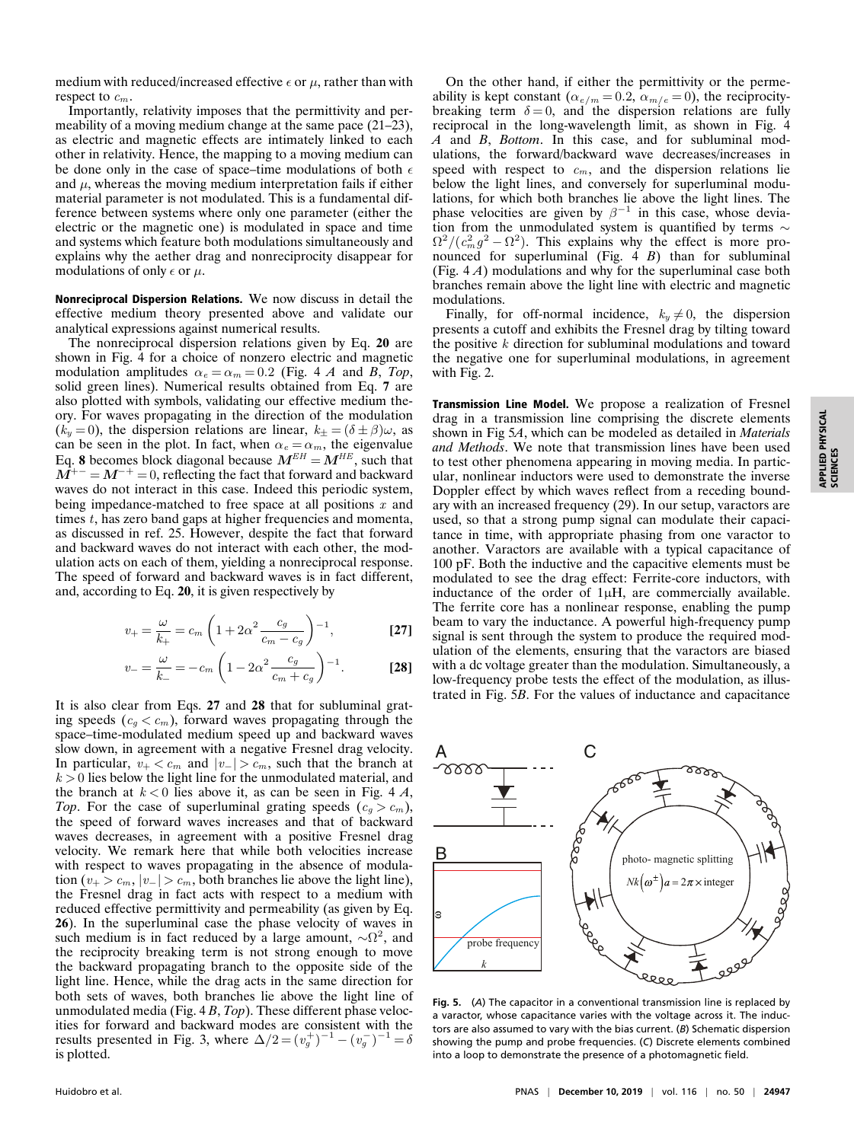medium with reduced/increased effective  $\epsilon$  or  $\mu$ , rather than with respect to  $c_m$ .

Importantly, relativity imposes that the permittivity and permeability of a moving medium change at the same pace (21–23), as electric and magnetic effects are intimately linked to each other in relativity. Hence, the mapping to a moving medium can be done only in the case of space–time modulations of both  $\epsilon$ and  $\mu$ , whereas the moving medium interpretation fails if either material parameter is not modulated. This is a fundamental difference between systems where only one parameter (either the electric or the magnetic one) is modulated in space and time and systems which feature both modulations simultaneously and explains why the aether drag and nonreciprocity disappear for modulations of only  $\epsilon$  or  $\mu$ .

Nonreciprocal Dispersion Relations. We now discuss in detail the effective medium theory presented above and validate our analytical expressions against numerical results.

The nonreciprocal dispersion relations given by Eq. **20** are shown in Fig. 4 for a choice of nonzero electric and magnetic modulation amplitudes  $\alpha_e = \alpha_m = 0.2$  (Fig. 4 *A* and *B*, *Top*, solid green lines). Numerical results obtained from Eq. **7** are also plotted with symbols, validating our effective medium theory. For waves propagating in the direction of the modulation  $(k_y = 0)$ , the dispersion relations are linear,  $k_{\pm} = (\delta \pm \beta)\omega$ , as can be seen in the plot. In fact, when  $\alpha_e = \alpha_m$ , the eigenvalue Eq. 8 becomes block diagonal because  $M^{EH} = M^{HE}$ , such that  $M^{+-} = M^{-+} = 0$ , reflecting the fact that forward and backward waves do not interact in this case. Indeed this periodic system, being impedance-matched to free space at all positions  $x$  and times  $t$ , has zero band gaps at higher frequencies and momenta, as discussed in ref. 25. However, despite the fact that forward and backward waves do not interact with each other, the modulation acts on each of them, yielding a nonreciprocal response. The speed of forward and backward waves is in fact different, and, according to Eq. **20**, it is given respectively by

$$
v_{+} = \frac{\omega}{k_{+}} = c_{m} \left( 1 + 2\alpha^{2} \frac{c_{g}}{c_{m} - c_{g}} \right)^{-1},
$$
 [27]

$$
v_{-} = \frac{\omega}{k_{-}} = -c_{m} \left( 1 - 2\alpha^{2} \frac{c_{g}}{c_{m} + c_{g}} \right)^{-1}.
$$
 [28]

It is also clear from Eqs. **27** and **28** that for subluminal grating speeds ( $c_g < c_m$ ), forward waves propagating through the space–time-modulated medium speed up and backward waves slow down, in agreement with a negative Fresnel drag velocity. In particular,  $v_+ < c_m$  and  $|v_-| > c_m$ , such that the branch at  $k > 0$  lies below the light line for the unmodulated material, and the branch at  $k < 0$  lies above it, as can be seen in Fig. 4  $A$ , *Top*. For the case of superluminal grating speeds  $(c_q > c_m)$ , the speed of forward waves increases and that of backward waves decreases, in agreement with a positive Fresnel drag velocity. We remark here that while both velocities increase with respect to waves propagating in the absence of modulation ( $v_{+} > c_{m}$ ,  $|v_{-}| > c_{m}$ , both branches lie above the light line), the Fresnel drag in fact acts with respect to a medium with reduced effective permittivity and permeability (as given by Eq. **26**). In the superluminal case the phase velocity of waves in such medium is in fact reduced by a large amount,  $\sim \Omega^2$ , and the reciprocity breaking term is not strong enough to move the backward propagating branch to the opposite side of the light line. Hence, while the drag acts in the same direction for both sets of waves, both branches lie above the light line of unmodulated media (Fig. 4 *B*, *Top*). These different phase velocities for forward and backward modes are consistent with the results presented in Fig. 3, where  $\Delta/2 = (v_g^+)^{-1} - (v_g^-)^{-1} = \delta$ is plotted.

On the other hand, if either the permittivity or the permeability is kept constant  $(\alpha_{e/m} = 0.2, \alpha_{m/e} = 0)$ , the reciprocitybreaking term  $\delta = 0$ , and the dispersion relations are fully reciprocal in the long-wavelength limit, as shown in Fig. 4 *A* and *B*, *Bottom*. In this case, and for subluminal modulations, the forward/backward wave decreases/increases in speed with respect to  $c_m$ , and the dispersion relations lie below the light lines, and conversely for superluminal modulations, for which both branches lie above the light lines. The phase velocities are given by  $\beta^{-1}$  in this case, whose deviation from the unmodulated system is quantified by terms  $\sim$  $\Omega^2/((c_m^2 g^2 - \Omega^2))$ . This explains why the effect is more pronounced for superluminal (Fig. 4 *B*) than for subluminal (Fig. 4 *A*) modulations and why for the superluminal case both branches remain above the light line with electric and magnetic modulations.

Finally, for off-normal incidence,  $k_y \neq 0$ , the dispersion presents a cutoff and exhibits the Fresnel drag by tilting toward the positive  $k$  direction for subluminal modulations and toward the negative one for superluminal modulations, in agreement with Fig. 2.

Transmission Line Model. We propose a realization of Fresnel drag in a transmission line comprising the discrete elements shown in Fig 5*A*, which can be modeled as detailed in *Materials and Methods*. We note that transmission lines have been used to test other phenomena appearing in moving media. In particular, nonlinear inductors were used to demonstrate the inverse Doppler effect by which waves reflect from a receding boundary with an increased frequency (29). In our setup, varactors are used, so that a strong pump signal can modulate their capacitance in time, with appropriate phasing from one varactor to another. Varactors are available with a typical capacitance of 100 pF. Both the inductive and the capacitive elements must be modulated to see the drag effect: Ferrite-core inductors, with inductance of the order of 1µH, are commercially available. The ferrite core has a nonlinear response, enabling the pump beam to vary the inductance. A powerful high-frequency pump signal is sent through the system to produce the required modulation of the elements, ensuring that the varactors are biased with a dc voltage greater than the modulation. Simultaneously, a low-frequency probe tests the effect of the modulation, as illustrated in Fig. 5*B*. For the values of inductance and capacitance



**Fig. 5.** (*A*) The capacitor in a conventional transmission line is replaced by a varactor, whose capacitance varies with the voltage across it. The inductors are also assumed to vary with the bias current. (*B*) Schematic dispersion showing the pump and probe frequencies. (*C*) Discrete elements combined into a loop to demonstrate the presence of a photomagnetic field.